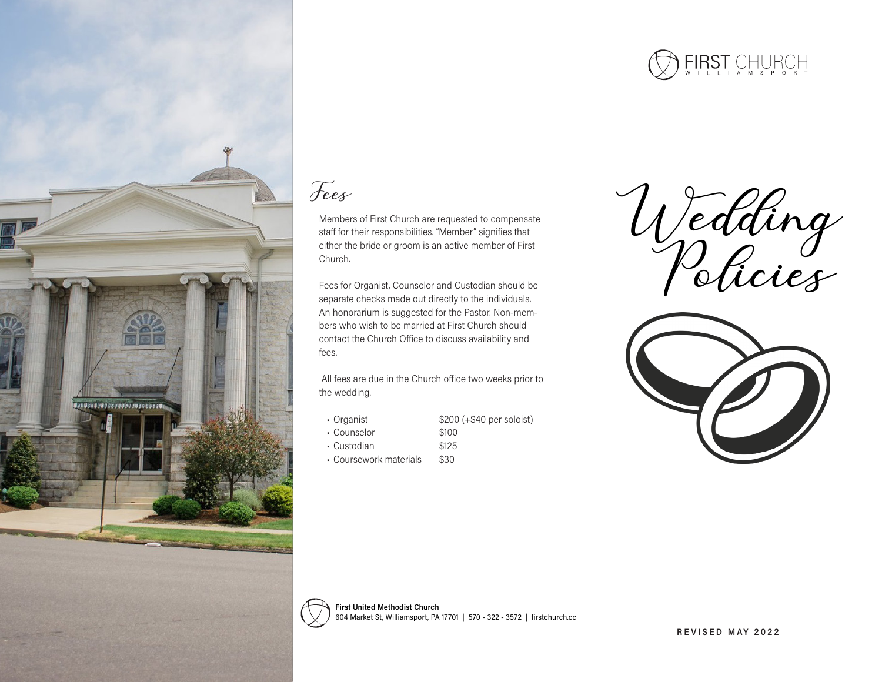

## Fees

Members of First Church are requested to compensate staff for their responsibilities. "Member" signifies that either the bride or groom is an active member of First Church.

Fees for Organist, Counselor and Custodian should be separate checks made out directly to the individuals. An honorarium is suggested for the Pastor. Non-members who wish to be married at First Church should contact the Church Office to discuss availability and fees.

 All fees are due in the Church office two weeks prior to the wedding.

**ISANGANGGASSA BAGA LEGERAGANG** 

- Organist \$200 (+\$40 per soloist)
- Counselor \$100
- Custodian \$125
- Coursework materials \$30